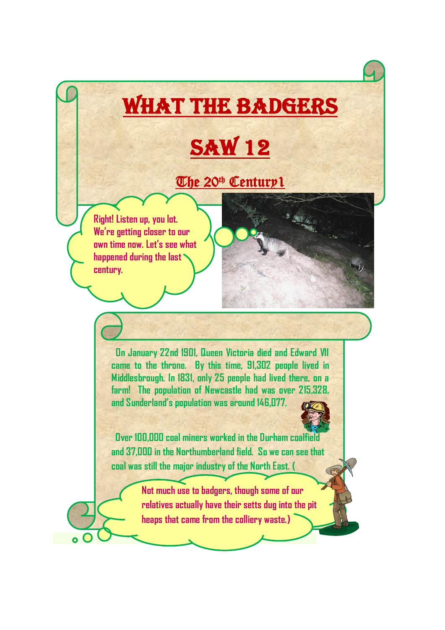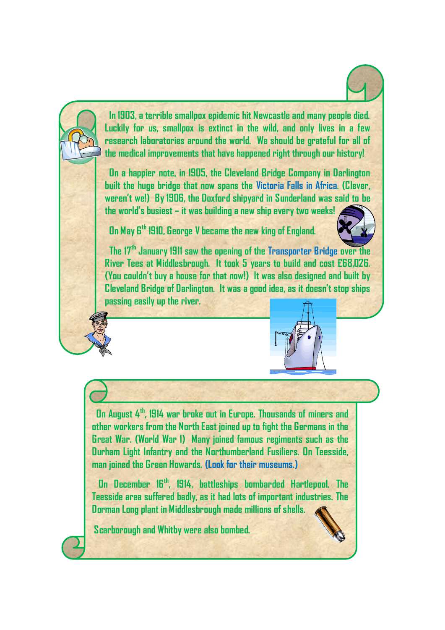

 **In 1903, a terrible smallpox epidemic hit Newcastle and many people died. Luckily for us, smallpox is extinct in the wild, and only lives in a few research laboratories around the world. We should be grateful for all of the medical improvements that have happened right through our history!**

 **On a happier note, in 1905, the Cleveland Bridge Company in Darlington built the huge bridge that now spans the Victoria Falls in Africa. (Clever, weren't we!) By 1906, the Doxford shipyard in Sunderland was said to be the world's busiest – it was building a new ship every two weeks!**

 **On May 6th 1910, George V became the new king of England.**



 **The 17th January 1911 saw the opening of the Transporter Bridge over the River Tees at Middlesbrough. It took 5 years to build and cost £68,026. (You couldn't buy a house for that now!) It was also designed and built by Cleveland Bridge of Darlington. It was a good idea, as it doesn't stop ships passing easily up the river.**



 **On August 4th, 1914 war broke out in Europe. Thousands of miners and other workers from the North East joined up to fight the Germans in the Great War. (World War I) Many joined famous regiments such as the Durham Light Infantry and the Northumberland Fusiliers. On Teesside, man joined the Green Howards. (Look for their museums.)**

 **On December 16th, 1914, battleships bombarded Hartlepool. The Teesside area suffered badly, as it had lots of important industries. The Dorman Long plant in Middlesbrough made millions of shells.**

**Scarborough and Whitby were also bombed.**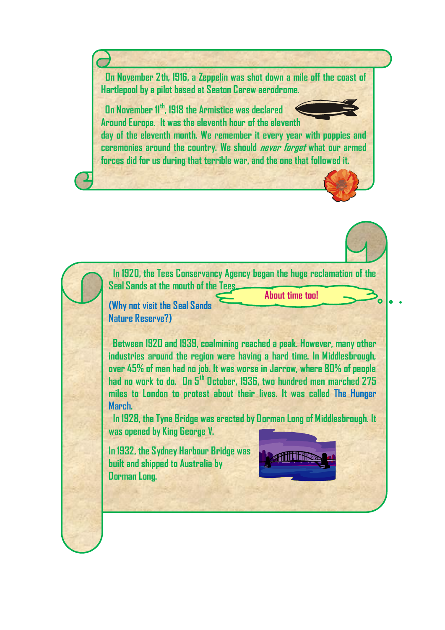**On November 2th, 1916, a Zeppelin was shot down a mile off the coast of Hartlepool by a pilot based at Seaton Carew aerodrome.**

**On November 11th, 1918 the Armistice was declared Around Europe. It was the eleventh hour of the eleventh**

**day of the eleventh month. We remember it every year with poppies and ceremonies around the country. We should never forget what our armed forces did for us during that terrible war, and the one that followed it.**

 **In 1920, the Tees Conservancy Agency began the huge reclamation of the Seal Sands at the mouth of the Tees.**

**(Why not visit the Seal Sands Nature Reserve?)**

 **Between 1920 and 1939, coalmining reached a peak. However, many other industries around the region were having a hard time. In Middlesbrough, over 45% of men had no job. It was worse in Jarrow, where 80% of people had no work to do. On 5th October, 1936, two hundred men marched 275 miles to London to protest about their lives. It was called The Hunger March.** 

 **In 1928, the Tyne Bridge was erected by Dorman Long of Middlesbrough. It was opened by King George V.** 

**In 1932, the Sydney Harbour Bridge was built and shipped to Australia by Dorman Long.**



**About time too!**